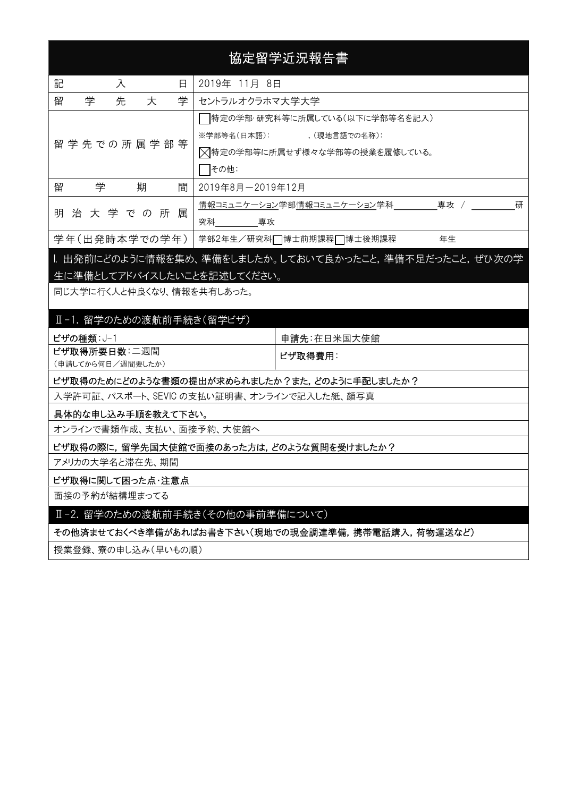# 協定留学近況報告書

| 記 |   | 入                   |                 | 日 | 2019年 11月 8日                                           |   |
|---|---|---------------------|-----------------|---|--------------------------------------------------------|---|
| 留 | 学 | 先                   | 大               | 学 | セントラルオクラホマ大学大学                                         |   |
|   |   |                     |                 |   | 特定の学部・研究科等に所属している(以下に学部等名を記入)                          |   |
|   |   |                     |                 |   | ※学部等名(日本語): (現地言語での名称):                                |   |
|   |   | 留 学 先 で の 所 属 学 部 等 |                 |   | ▽特定の学部等に所属せず様々な学部等の授業を履修している。                          |   |
|   |   |                     |                 |   | その他:                                                   |   |
| 留 | 学 |                     | 期               | 間 | 2019年8月-2019年12月                                       |   |
|   |   |                     |                 |   | 情報コミュニケーション学部情報コミュニケーション学科<br>専攻 /                     | 研 |
|   |   |                     | 明 治 大 学 で の 所 属 |   | うかんりょう 究科 こうしゃ もうしゃ 専攻 かんきょう りょうかん                     |   |
|   |   |                     | 学年(出発時本学での学年)   |   | 学部2年生/研究科□博士前期課程□博士後期課程<br>年生                          |   |
|   |   |                     |                 |   | Ⅰ. 出発前にどのように情報を集め、準備をしましたか。しておいて良かったこと,準備不足だったこと,ぜひ次の学 |   |

# 生に準備としてアドバイスしたいことを記述してください。

同じ大学に行く人と仲良くなり、情報を共有しあった。

# Ⅱ-1. 留学のための渡航前手続き(留学ビザ)

| ビザの種類: J-1        | 申請先:在日米国大使館 |  |  |
|-------------------|-------------|--|--|
| ビザ取得所要日数:二週間      | ビザ取得費用:     |  |  |
| (申請してから何日/週間要したか) |             |  |  |

#### ビザ取得のためにどのような書類の提出が求められましたか?また,どのように手配しましたか?

入学許可証、パスポート、SEVIC の支払い証明書、オンラインで記入した紙、顔写真

# 具体的な申し込み手順を教えて下さい。

オンラインで書類作成、支払い、面接予約、大使館へ

ビザ取得の際に,留学先国大使館で面接のあった方は,どのような質問を受けましたか?

アメリカの大学名と滞在先、期間

#### ビザ取得に関して困った点・注意点

面接の予約が結構埋まってる

#### Ⅱ-2. 留学のための渡航前手続き(その他の事前準備について)

その他済ませておくべき準備があればお書き下さい(現地での現金調達準備,携帯電話購入,荷物運送など)

授業登録、寮の申し込み(早いもの順)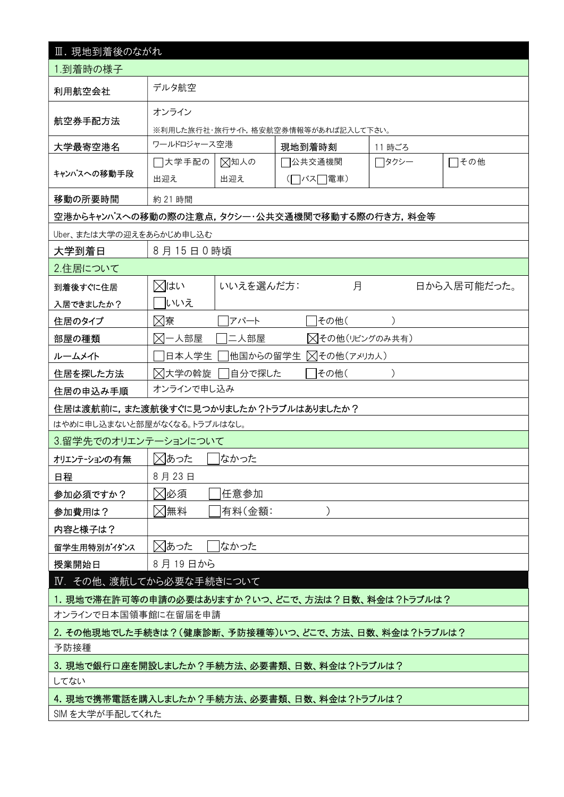| Ⅲ. 現地到着後のながれ                                                  |                                           |             |                     |        |             |  |  |  |  |
|---------------------------------------------------------------|-------------------------------------------|-------------|---------------------|--------|-------------|--|--|--|--|
| 1.到着時の様子                                                      |                                           |             |                     |        |             |  |  |  |  |
| 利用航空会社                                                        | デルタ航空                                     |             |                     |        |             |  |  |  |  |
| 航空券手配方法                                                       | オンライン                                     |             |                     |        |             |  |  |  |  |
|                                                               | ※利用した旅行社・旅行サイト,格安航空券情報等があれば記入して下さい。       |             |                     |        |             |  |  |  |  |
| 大学最寄空港名                                                       | ワールドロジャース空港                               |             | 現地到着時刻              | 11 時ごろ |             |  |  |  |  |
| キャンパスへの移動手段                                                   | □大学手配の<br>出迎え                             | ⊠知人の<br>出迎え | 7公共交通機関<br>(□バス□電車) | □タクシー  | □その他        |  |  |  |  |
| 移動の所要時間                                                       | 約 21 時間                                   |             |                     |        |             |  |  |  |  |
| 空港からキャンパスへの移動の際の注意点,タクシー・公共交通機関で移動する際の行き方,料金等                 |                                           |             |                     |        |             |  |  |  |  |
| Uber、または大学の迎えをあらかじめ申し込む                                       |                                           |             |                     |        |             |  |  |  |  |
| 大学到着日                                                         | 8月15日0時頃                                  |             |                     |        |             |  |  |  |  |
| 2.住居について                                                      |                                           |             |                     |        |             |  |  |  |  |
| 到着後すぐに住居                                                      | ⊠はい                                       | いいえを選んだ方:   | 月                   |        | 日から入居可能だった。 |  |  |  |  |
| 入居できましたか?                                                     | いいえ                                       |             |                     |        |             |  |  |  |  |
| 住居のタイプ                                                        | ⊠寮                                        | アパート        | その他(                |        |             |  |  |  |  |
| 部屋の種類                                                         | ⊠一人部屋<br>二人部屋<br>△その他(リビングのみ共有)           |             |                     |        |             |  |  |  |  |
| ルームメイト                                                        | ∑その他(アメリカ人)<br>日本人学生<br> 他国からの留学生         |             |                     |        |             |  |  |  |  |
| 住居を探した方法                                                      | ⊠大学の斡旋<br>自分で探した<br>その他(<br>$\mathcal{E}$ |             |                     |        |             |  |  |  |  |
| 住居の申込み手順                                                      | オンラインで申し込み                                |             |                     |        |             |  |  |  |  |
| 住居は渡航前に,また渡航後すぐに見つかりましたか?トラブルはありましたか?                         |                                           |             |                     |        |             |  |  |  |  |
| はやめに申し込まないと部屋がなくなる。トラブルはなし。                                   |                                           |             |                     |        |             |  |  |  |  |
| 3.留学先でのオリエンテーションについて                                          |                                           |             |                     |        |             |  |  |  |  |
| オリエンテーションの有無                                                  | ⊠あった                                      | はかった        |                     |        |             |  |  |  |  |
| 日程                                                            | 8月23日                                     |             |                     |        |             |  |  |  |  |
| 参加必須ですか?                                                      | ⊠必須                                       | 任意参加        |                     |        |             |  |  |  |  |
| 参加費用は?                                                        | ⊠無料                                       | 有料(金額:      |                     |        |             |  |  |  |  |
| 内容と様子は?                                                       |                                           |             |                     |        |             |  |  |  |  |
| 留学生用特別がイダンス                                                   | ⊠あった<br>なかった                              |             |                     |        |             |  |  |  |  |
| 授業開始日                                                         | 8月19日から                                   |             |                     |        |             |  |  |  |  |
| Ⅳ. その他、渡航してから必要な手続きについて                                       |                                           |             |                     |        |             |  |  |  |  |
| 1. 現地で滞在許可等の申請の必要はありますか?いつ、どこで、方法は?日数、料金は?トラブルは?              |                                           |             |                     |        |             |  |  |  |  |
| オンラインで日本国領事館に在留届を申請                                           |                                           |             |                     |        |             |  |  |  |  |
| 2. その他現地でした手続きは?(健康診断、予防接種等)いつ、どこで、方法、日数、料金は?トラブルは?           |                                           |             |                     |        |             |  |  |  |  |
| 予防接種                                                          |                                           |             |                     |        |             |  |  |  |  |
| 3. 現地で銀行口座を開設しましたか?手続方法、必要書類、日数、料金は?トラブルは?                    |                                           |             |                     |        |             |  |  |  |  |
| してない                                                          |                                           |             |                     |        |             |  |  |  |  |
| 4. 現地で携帯電話を購入しましたか?手続方法、必要書類、日数、料金は?トラブルは?<br>SIM を大学が手配してくれた |                                           |             |                     |        |             |  |  |  |  |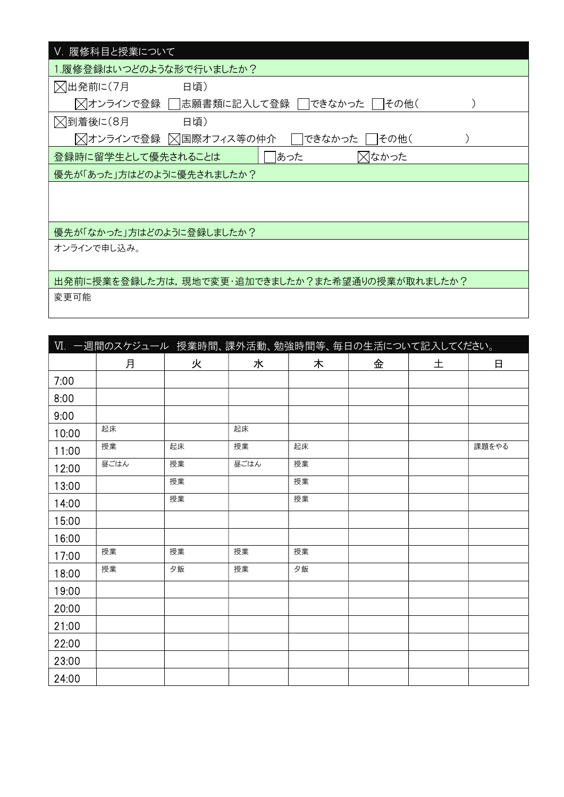| V. 履修科目と授業について                                     |
|----------------------------------------------------|
| 1.履修登録はいつどのような形で行いましたか?                            |
| ■ △ 人出発前に(7月<br>日頃)                                |
| 风オンラインで登録 │<br> 志願書類に記入して登録  <br> できなかった  <br>その他( |
| ╳到着後に(8月<br>日頃)                                    |
| ▽オンラインで登録 ▽国際オフィス等の仲介<br>できなかった<br>その他(            |
| あった<br>╳┃なかった<br>登録時に留学生として優先されることは                |
| 優先が「あった」方はどのように優先されましたか?                           |
|                                                    |
|                                                    |
| 優先が「なかった」方はどのように登録しましたか?                           |
| オンラインで申し込み。                                        |
|                                                    |
| 出発前に授業を登録した方は,現地で変更・追加できましたか?また希望通りの授業が取れましたか?     |
| 変更可能                                               |

| VI. 一週間のスケジュール 授業時間、課外活動、勉強時間等、毎日の生活について記入してください。 |      |    |      |    |   |   |       |  |  |
|---------------------------------------------------|------|----|------|----|---|---|-------|--|--|
|                                                   | 月    | 火  | 水    | 木  | 金 | 土 | 日     |  |  |
| 7:00                                              |      |    |      |    |   |   |       |  |  |
| 8:00                                              |      |    |      |    |   |   |       |  |  |
| 9:00                                              |      |    |      |    |   |   |       |  |  |
| 10:00                                             | 起床   |    | 起床   |    |   |   |       |  |  |
| 11:00                                             | 授業   | 起床 | 授業   | 起床 |   |   | 課題をやる |  |  |
| 12:00                                             | 昼ごはん | 授業 | 昼ごはん | 授業 |   |   |       |  |  |
| 13:00                                             |      | 授業 |      | 授業 |   |   |       |  |  |
| 14:00                                             |      | 授業 |      | 授業 |   |   |       |  |  |
| 15:00                                             |      |    |      |    |   |   |       |  |  |
| 16:00                                             |      |    |      |    |   |   |       |  |  |
| 17:00                                             | 授業   | 授業 | 授業   | 授業 |   |   |       |  |  |
| 18:00                                             | 授業   | 夕飯 | 授業   | 夕飯 |   |   |       |  |  |
| 19:00                                             |      |    |      |    |   |   |       |  |  |
| 20:00                                             |      |    |      |    |   |   |       |  |  |
| 21:00                                             |      |    |      |    |   |   |       |  |  |
| 22:00                                             |      |    |      |    |   |   |       |  |  |
| 23:00                                             |      |    |      |    |   |   |       |  |  |
| 24:00                                             |      |    |      |    |   |   |       |  |  |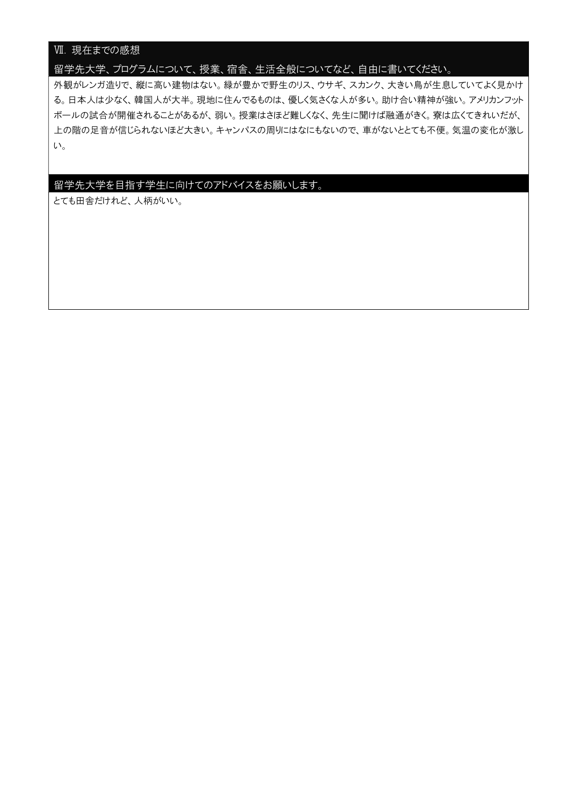# Ⅶ. 現在までの感想

# 留学先大学、プログラムについて、授業、宿舎、生活全般についてなど、自由に書いてください。

外観がレンガ造りで、縦に高い建物はない。緑が豊かで野生のリス、ウサギ、スカンク、大きい鳥が生息していてよく見かけ る。日本人は少なく、韓国人が大半。現地に住んでるものは、優しく気さくな人が多い。助け合い精神が強い。アメリカンフット ボールの試合が開催されることがあるが、弱い。授業はさほど難しくなく、先生に聞けば融通がきく。寮は広くてきれいだが、 上の階の足音が信じられないほど大きい。キャンパスの周りにはなにもないので、車がないととても不便。気温の変化が激し い。

# 留学先大学を目指す学生に向けてのアドバイスをお願いします。

とても田舎だけれど、人柄がいい。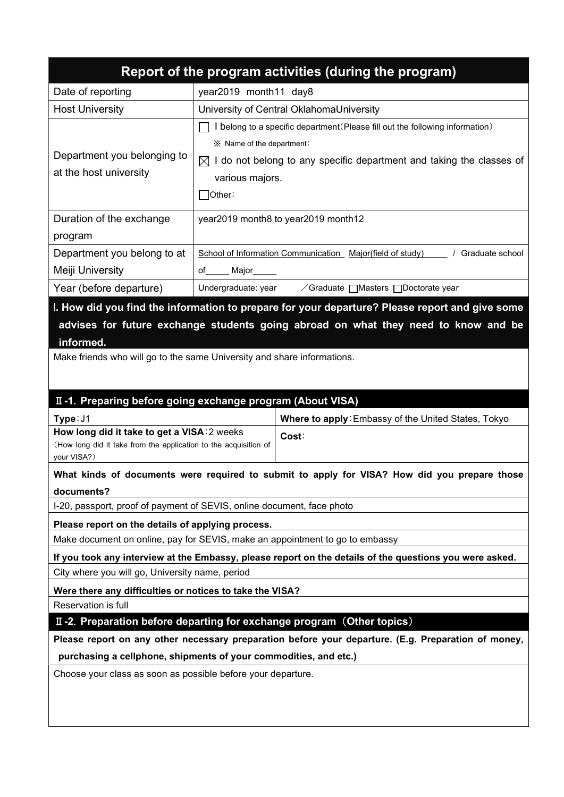|                                                                                                                                                                                                                                                                              |                       | Report of the program activities (during the program)                                                                                                                                                             |  |  |  |  |  |  |
|------------------------------------------------------------------------------------------------------------------------------------------------------------------------------------------------------------------------------------------------------------------------------|-----------------------|-------------------------------------------------------------------------------------------------------------------------------------------------------------------------------------------------------------------|--|--|--|--|--|--|
| Date of reporting                                                                                                                                                                                                                                                            | year2019 month11 day8 |                                                                                                                                                                                                                   |  |  |  |  |  |  |
| <b>Host University</b>                                                                                                                                                                                                                                                       |                       | University of Central OklahomaUniversity                                                                                                                                                                          |  |  |  |  |  |  |
| Department you belonging to<br>at the host university                                                                                                                                                                                                                        | ]Other∶               | I belong to a specific department (Please fill out the following information)<br>※ Name of the department:<br>$\boxtimes$ I do not belong to any specific department and taking the classes of<br>various majors. |  |  |  |  |  |  |
| Duration of the exchange<br>program                                                                                                                                                                                                                                          |                       | year2019 month8 to year2019 month12                                                                                                                                                                               |  |  |  |  |  |  |
| Department you belong to at                                                                                                                                                                                                                                                  |                       | School of Information Communication Major(field of study)   / Graduate school                                                                                                                                     |  |  |  |  |  |  |
| Meiji University                                                                                                                                                                                                                                                             | of______ Major_____   |                                                                                                                                                                                                                   |  |  |  |  |  |  |
| Year (before departure)                                                                                                                                                                                                                                                      | Undergraduate: year   | ∕Graduate   Masters   Doctorate year                                                                                                                                                                              |  |  |  |  |  |  |
| I. How did you find the information to prepare for your departure? Please report and give some<br>advises for future exchange students going abroad on what they need to know and be<br>informed.<br>Make friends who will go to the same University and share informations. |                       |                                                                                                                                                                                                                   |  |  |  |  |  |  |
| II-1. Preparing before going exchange program (About VISA)                                                                                                                                                                                                                   |                       |                                                                                                                                                                                                                   |  |  |  |  |  |  |
| Type: J1                                                                                                                                                                                                                                                                     |                       | Where to apply: Embassy of the United States, Tokyo                                                                                                                                                               |  |  |  |  |  |  |
| How long did it take to get a VISA: 2 weeks<br>(How long did it take from the application to the acquisition of<br>your VISA?)                                                                                                                                               |                       | Cost:                                                                                                                                                                                                             |  |  |  |  |  |  |
|                                                                                                                                                                                                                                                                              |                       | What kinds of documents were required to submit to apply for VISA? How did you prepare those                                                                                                                      |  |  |  |  |  |  |
| documents?                                                                                                                                                                                                                                                                   |                       |                                                                                                                                                                                                                   |  |  |  |  |  |  |
| I-20, passport, proof of payment of SEVIS, online document, face photo                                                                                                                                                                                                       |                       |                                                                                                                                                                                                                   |  |  |  |  |  |  |
| Please report on the details of applying process.                                                                                                                                                                                                                            |                       |                                                                                                                                                                                                                   |  |  |  |  |  |  |
| Make document on online, pay for SEVIS, make an appointment to go to embassy                                                                                                                                                                                                 |                       |                                                                                                                                                                                                                   |  |  |  |  |  |  |
| City where you will go, University name, period                                                                                                                                                                                                                              |                       | If you took any interview at the Embassy, please report on the details of the questions you were asked.                                                                                                           |  |  |  |  |  |  |
| Were there any difficulties or notices to take the VISA?                                                                                                                                                                                                                     |                       |                                                                                                                                                                                                                   |  |  |  |  |  |  |
| Reservation is full                                                                                                                                                                                                                                                          |                       |                                                                                                                                                                                                                   |  |  |  |  |  |  |
| II -2. Preparation before departing for exchange program (Other topics)                                                                                                                                                                                                      |                       |                                                                                                                                                                                                                   |  |  |  |  |  |  |
|                                                                                                                                                                                                                                                                              |                       | Please report on any other necessary preparation before your departure. (E.g. Preparation of money,                                                                                                               |  |  |  |  |  |  |
| purchasing a cellphone, shipments of your commodities, and etc.)                                                                                                                                                                                                             |                       |                                                                                                                                                                                                                   |  |  |  |  |  |  |
| Choose your class as soon as possible before your departure.                                                                                                                                                                                                                 |                       |                                                                                                                                                                                                                   |  |  |  |  |  |  |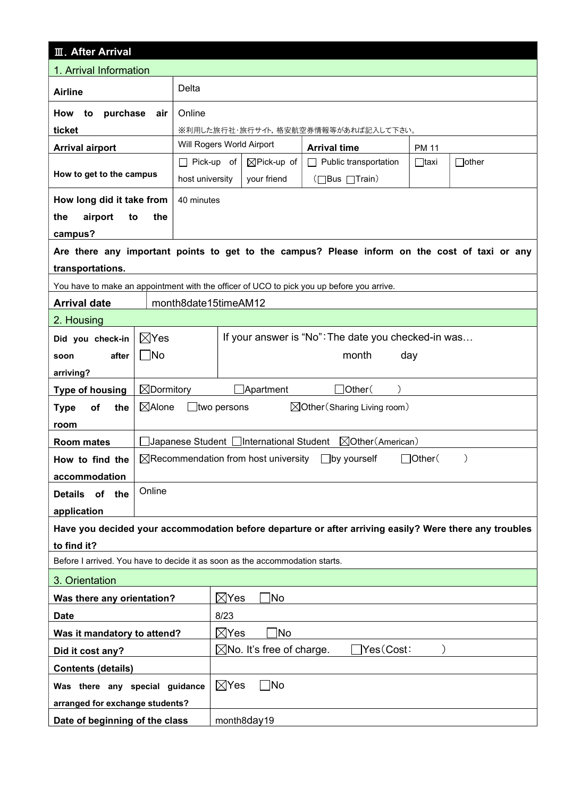| <b>III. After Arrival</b>                                                    |                       |                           |                                                   |                                                                                                        |              |               |  |  |
|------------------------------------------------------------------------------|-----------------------|---------------------------|---------------------------------------------------|--------------------------------------------------------------------------------------------------------|--------------|---------------|--|--|
| 1. Arrival Information                                                       |                       |                           |                                                   |                                                                                                        |              |               |  |  |
| Delta<br><b>Airline</b>                                                      |                       |                           |                                                   |                                                                                                        |              |               |  |  |
| purchase<br>Online<br>How<br>to<br>air                                       |                       |                           |                                                   |                                                                                                        |              |               |  |  |
| ticket                                                                       |                       |                           |                                                   | ※利用した旅行社・旅行サイト,格安航空券情報等があれば記入して下さい。                                                                    |              |               |  |  |
| <b>Arrival airport</b>                                                       |                       | Will Rogers World Airport |                                                   | <b>Arrival time</b>                                                                                    | <b>PM 11</b> |               |  |  |
|                                                                              |                       | $\Box$ Pick-up of         | $\boxtimes$ Pick-up of                            | Public transportation                                                                                  | $\Box$ taxi  | $\Box$ other  |  |  |
| How to get to the campus                                                     |                       | host university           | your friend                                       | (□Bus □Train)                                                                                          |              |               |  |  |
| How long did it take from                                                    |                       | 40 minutes                |                                                   |                                                                                                        |              |               |  |  |
| airport<br>the<br>to                                                         | the                   |                           |                                                   |                                                                                                        |              |               |  |  |
| campus?                                                                      |                       |                           |                                                   |                                                                                                        |              |               |  |  |
|                                                                              |                       |                           |                                                   | Are there any important points to get to the campus? Please inform on the cost of taxi or any          |              |               |  |  |
| transportations.                                                             |                       |                           |                                                   |                                                                                                        |              |               |  |  |
|                                                                              |                       |                           |                                                   | You have to make an appointment with the officer of UCO to pick you up before you arrive.              |              |               |  |  |
| <b>Arrival date</b>                                                          |                       | month8date15timeAM12      |                                                   |                                                                                                        |              |               |  |  |
| 2. Housing                                                                   |                       |                           |                                                   |                                                                                                        |              |               |  |  |
| Did you check-in                                                             | $\boxtimes$ Yes       |                           |                                                   | If your answer is "No": The date you checked-in was                                                    |              |               |  |  |
| $\Box$ No<br>after<br>soon                                                   |                       |                           | month<br>day                                      |                                                                                                        |              |               |  |  |
| arriving?                                                                    |                       |                           |                                                   |                                                                                                        |              |               |  |  |
| <b>Type of housing</b>                                                       | $\boxtimes$ Dormitory |                           | Apartment                                         | $\Box$ Other $($                                                                                       |              |               |  |  |
| of<br>the<br><b>Type</b>                                                     | $\boxtimes$ Alone     | _ltwo persons             |                                                   | $\boxtimes$ Other (Sharing Living room)                                                                |              |               |  |  |
| room                                                                         |                       |                           |                                                   |                                                                                                        |              |               |  |  |
| <b>Room mates</b>                                                            |                       |                           | ]Japanese Student □International Student          | ⊠Other (American)                                                                                      |              |               |  |  |
| How to find the                                                              |                       |                           | $\boxtimes$ Recommendation from host university   | $\Box$ by yourself                                                                                     | ]Other(      | $\mathcal{E}$ |  |  |
| accommodation                                                                |                       |                           |                                                   |                                                                                                        |              |               |  |  |
| of<br><b>Details</b><br>the                                                  | Online                |                           |                                                   |                                                                                                        |              |               |  |  |
| application                                                                  |                       |                           |                                                   |                                                                                                        |              |               |  |  |
|                                                                              |                       |                           |                                                   | Have you decided your accommodation before departure or after arriving easily? Were there any troubles |              |               |  |  |
| to find it?                                                                  |                       |                           |                                                   |                                                                                                        |              |               |  |  |
| Before I arrived. You have to decide it as soon as the accommodation starts. |                       |                           |                                                   |                                                                                                        |              |               |  |  |
| 3. Orientation                                                               |                       |                           |                                                   |                                                                                                        |              |               |  |  |
| Was there any orientation?                                                   |                       |                           | $\boxtimes$ Yes<br>]No                            |                                                                                                        |              |               |  |  |
| <b>Date</b>                                                                  |                       |                           | 8/23                                              |                                                                                                        |              |               |  |  |
| Was it mandatory to attend?                                                  |                       |                           | $\boxtimes$ Yes<br>1No                            |                                                                                                        |              |               |  |  |
| Did it cost any?                                                             |                       |                           | Yes(Cost:<br>$\boxtimes$ No. It's free of charge. |                                                                                                        |              |               |  |  |
| <b>Contents (details)</b>                                                    |                       |                           |                                                   |                                                                                                        |              |               |  |  |
| Was there any special guidance                                               |                       |                           | $\boxtimes$ Yes<br>$\Box$ No                      |                                                                                                        |              |               |  |  |
| arranged for exchange students?                                              |                       |                           |                                                   |                                                                                                        |              |               |  |  |
| Date of beginning of the class                                               |                       |                           | month8day19                                       |                                                                                                        |              |               |  |  |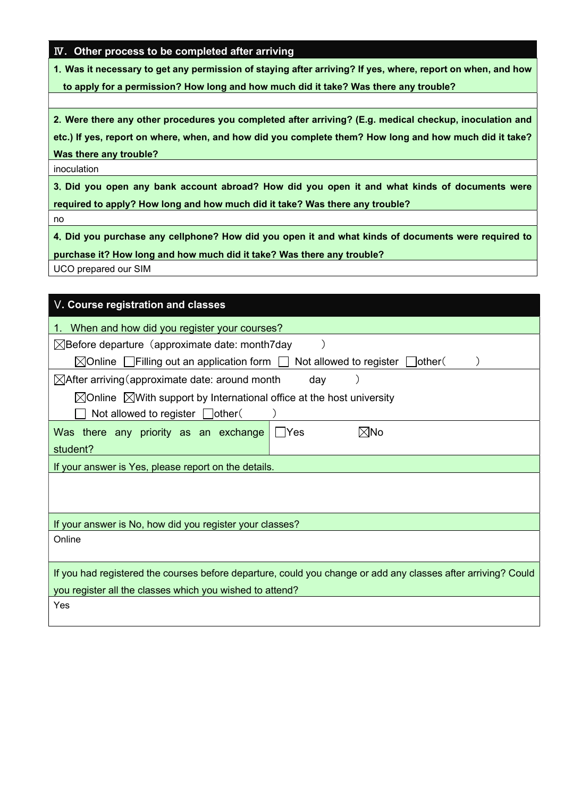# Ⅳ. Other process to be completed after arriving

1.Was it necessary to get any permission of staying after arriving? If yes, where, report on when, and how to apply for a permission? How long and how much did it take? Was there any trouble?

2.Were there any other procedures you completed after arriving? (E.g. medical checkup, inoculation and etc.) If yes, report on where, when, and how did you complete them? How long and how much did it take? Was there any trouble?

inoculation

3.Did you open any bank account abroad? How did you open it and what kinds of documents were required to apply? How long and how much did it take? Was there any trouble?

no

4.Did you purchase any cellphone? How did you open it and what kinds of documents were required to

purchase it? How long and how much did it take? Was there any trouble?

UCO prepared our SIM

| V. Course registration and classes                                                                            |  |  |  |  |  |  |  |  |
|---------------------------------------------------------------------------------------------------------------|--|--|--|--|--|--|--|--|
| 1. When and how did you register your courses?                                                                |  |  |  |  |  |  |  |  |
| $\boxtimes$ Before departure (approximate date: month7day                                                     |  |  |  |  |  |  |  |  |
| $\boxtimes$ Online $\Box$ Filling out an application form [<br>Not allowed to register $\Box$ other           |  |  |  |  |  |  |  |  |
| $\boxtimes$ After arriving (approximate date: around month<br>day                                             |  |  |  |  |  |  |  |  |
| $\boxtimes$ Online $\boxtimes$ With support by International office at the host university                    |  |  |  |  |  |  |  |  |
| Not allowed to register $\Box$ other(                                                                         |  |  |  |  |  |  |  |  |
| Was there any priority as an exchange<br>$\boxtimes$ No<br>- IYes                                             |  |  |  |  |  |  |  |  |
| student?                                                                                                      |  |  |  |  |  |  |  |  |
| If your answer is Yes, please report on the details.                                                          |  |  |  |  |  |  |  |  |
|                                                                                                               |  |  |  |  |  |  |  |  |
|                                                                                                               |  |  |  |  |  |  |  |  |
| If your answer is No, how did you register your classes?                                                      |  |  |  |  |  |  |  |  |
| Online                                                                                                        |  |  |  |  |  |  |  |  |
|                                                                                                               |  |  |  |  |  |  |  |  |
| If you had registered the courses before departure, could you change or add any classes after arriving? Could |  |  |  |  |  |  |  |  |
| you register all the classes which you wished to attend?                                                      |  |  |  |  |  |  |  |  |
| Yes                                                                                                           |  |  |  |  |  |  |  |  |
|                                                                                                               |  |  |  |  |  |  |  |  |